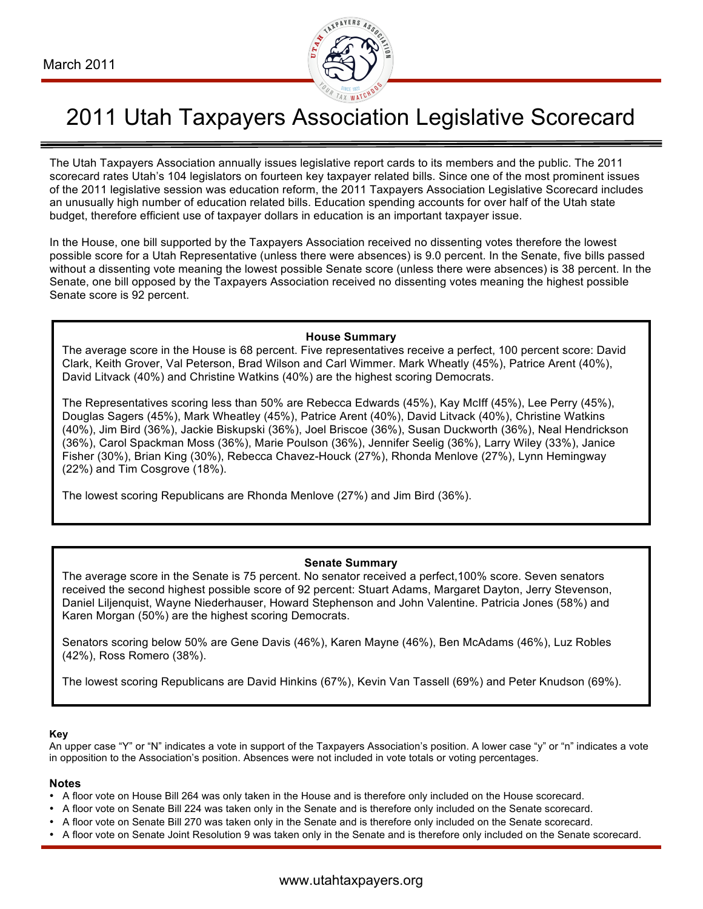

# 2011 Utah Taxpayers Association Legislative Scorecard

The Utah Taxpayers Association annually issues legislative report cards to its members and the public. The 2011 scorecard rates Utah's 104 legislators on fourteen key taxpayer related bills. Since one of the most prominent issues of the 2011 legislative session was education reform, the 2011 Taxpayers Association Legislative Scorecard includes an unusually high number of education related bills. Education spending accounts for over half of the Utah state budget, therefore efficient use of taxpayer dollars in education is an important taxpayer issue.

In the House, one bill supported by the Taxpayers Association received no dissenting votes therefore the lowest possible score for a Utah Representative (unless there were absences) is 9.0 percent. In the Senate, five bills passed without a dissenting vote meaning the lowest possible Senate score (unless there were absences) is 38 percent. In the Senate, one bill opposed by the Taxpayers Association received no dissenting votes meaning the highest possible Senate score is 92 percent.

### **House Summary**

The average score in the House is 68 percent. Five representatives receive a perfect, 100 percent score: David Clark, Keith Grover, Val Peterson, Brad Wilson and Carl Wimmer. Mark Wheatly (45%), Patrice Arent (40%), David Litvack (40%) and Christine Watkins (40%) are the highest scoring Democrats.

The Representatives scoring less than 50% are Rebecca Edwards (45%), Kay McIff (45%), Lee Perry (45%), Douglas Sagers (45%), Mark Wheatley (45%), Patrice Arent (40%), David Litvack (40%), Christine Watkins (40%), Jim Bird (36%), Jackie Biskupski (36%), Joel Briscoe (36%), Susan Duckworth (36%), Neal Hendrickson (36%), Carol Spackman Moss (36%), Marie Poulson (36%), Jennifer Seelig (36%), Larry Wiley (33%), Janice Fisher (30%), Brian King (30%), Rebecca Chavez-Houck (27%), Rhonda Menlove (27%), Lynn Hemingway (22%) and Tim Cosgrove (18%).

The lowest scoring Republicans are Rhonda Menlove (27%) and Jim Bird (36%).

#### **Senate Summary**

The average score in the Senate is 75 percent. No senator received a perfect,100% score. Seven senators received the second highest possible score of 92 percent: Stuart Adams, Margaret Dayton, Jerry Stevenson, Daniel Liljenquist, Wayne Niederhauser, Howard Stephenson and John Valentine. Patricia Jones (58%) and Karen Morgan (50%) are the highest scoring Democrats.

Senators scoring below 50% are Gene Davis (46%), Karen Mayne (46%), Ben McAdams (46%), Luz Robles (42%), Ross Romero (38%).

The lowest scoring Republicans are David Hinkins (67%), Kevin Van Tassell (69%) and Peter Knudson (69%).

#### **Key**

An upper case "Y" or "N" indicates a vote in support of the Taxpayers Association's position. A lower case "y" or "n" indicates a vote in opposition to the Association's position. Absences were not included in vote totals or voting percentages.

#### **Notes**

- A floor vote on House Bill 264 was only taken in the House and is therefore only included on the House scorecard.
- A floor vote on Senate Bill 224 was taken only in the Senate and is therefore only included on the Senate scorecard.
- A floor vote on Senate Bill 270 was taken only in the Senate and is therefore only included on the Senate scorecard.
- A floor vote on Senate Joint Resolution 9 was taken only in the Senate and is therefore only included on the Senate scorecard.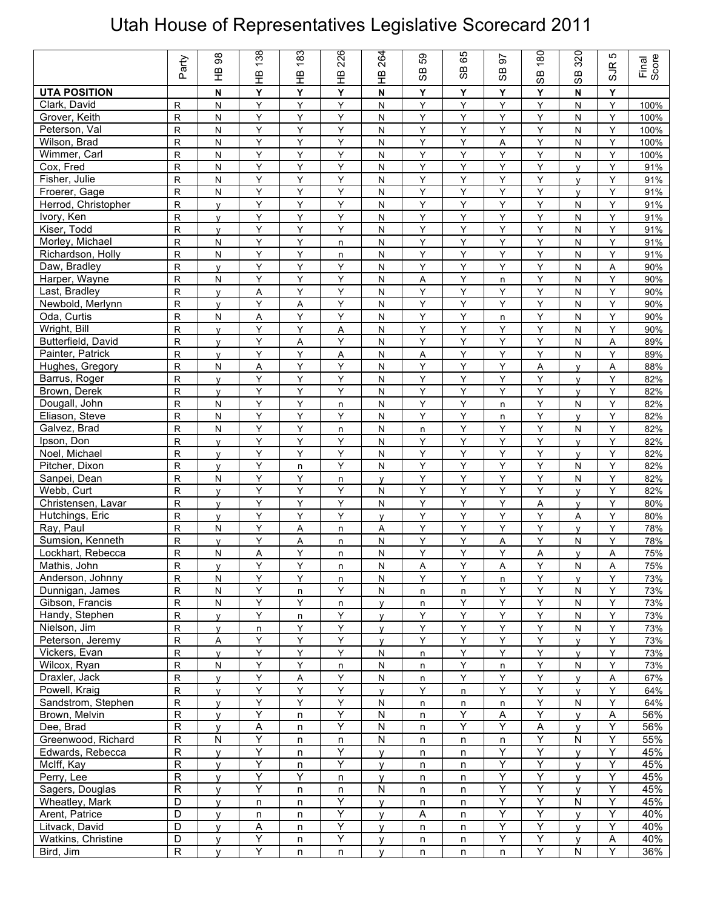# Utah House of Representatives Legislative Scorecard 2011

|                                     | Party                                  | 88<br>m                      | 138                              | 183                 | 226                | 264                       | 6S                | 65                  | 50                               | 80<br>$\overline{\phantom{0}}$   | 320                       | ю<br>SJR                         | Final<br>Score |
|-------------------------------------|----------------------------------------|------------------------------|----------------------------------|---------------------|--------------------|---------------------------|-------------------|---------------------|----------------------------------|----------------------------------|---------------------------|----------------------------------|----------------|
|                                     |                                        | ᆂ                            | $\frac{10}{10}$                  | $\bf{m}$<br>ᆂ       | $\hat{\mathbb{F}}$ | $\frac{1}{2}$             | 89                | 8B                  | œ,                               | $\Omega$<br>ळ                    | 8B                        |                                  |                |
| <b>UTA POSITION</b>                 |                                        | N                            | Y                                | Y                   | Y                  | N                         | Y                 | Y                   | Y                                | Y                                | $\boldsymbol{\mathsf{N}}$ | Y                                |                |
| Clark, David                        | ${\sf R}$                              | N                            | Y                                | Y                   | Υ                  | N                         | Y                 | Y                   | Y                                | Y                                | ${\sf N}$                 | Υ                                | 100%           |
| Grover, Keith                       | ${\sf R}$                              | N                            | Y                                | Y                   | Υ                  | N                         | Y                 | $\overline{Y}$      | Υ                                | Υ                                | $\sf N$                   | $\overline{Y}$                   | 100%           |
| Peterson, Val                       | ${\sf R}$                              | N                            | $\overline{Y}$                   | Y                   | Y                  | ${\sf N}$                 | Y                 | $\overline{Y}$      | Y                                | $\overline{Y}$                   | ${\sf N}$                 | $\overline{Y}$                   | 100%           |
| Wilson, Brad                        | ${\sf R}$                              | N                            | Y                                | Y                   | Y                  | N                         | Y                 | $\overline{Y}$      | A                                | Y                                | ${\sf N}$                 | Υ                                | 100%           |
| Wimmer, Carl<br>Cox, Fred           | ${\sf R}$                              | N                            | Υ<br>Y                           | Y<br>Y              | Υ<br>Υ             | N                         | Y<br>Y            | Y                   | Y<br>Y                           | Y                                | ${\sf N}$                 | Y<br>Υ                           | 100%           |
| Fisher, Julie                       | $\mathsf R$<br>$\overline{\mathsf{R}}$ | N<br>N                       | $\overline{Y}$                   | Y                   | Υ                  | N<br>N                    | Y                 | Υ<br>$\overline{Y}$ | Y                                | Y<br>$\overline{Y}$              | y<br>v                    | $\overline{Y}$                   | 91%<br>91%     |
| Froerer, Gage                       | ${\sf R}$                              | N                            | $\overline{Y}$                   | $\overline{Y}$      | Υ                  | ${\sf N}$                 | Υ                 | $\overline{Y}$      | Υ                                | $\overline{Y}$                   | v                         | $\overline{Y}$                   | 91%            |
| Herrod, Christopher                 | ${\sf R}$                              | $\mathsf{v}$                 | Υ                                | Y                   | Υ                  | ${\sf N}$                 | Υ                 | Y                   | Y                                | Y                                | ${\sf N}$                 | Υ                                | 91%            |
| Ivory, Ken                          | $\mathsf{R}$                           | $\mathsf{v}$                 | Y                                | Y                   | Y                  | N                         | Y                 | Y                   | Y                                | Y                                | ${\sf N}$                 | Y                                | 91%            |
| Kiser, Todd                         | ${\sf R}$                              | $\mathsf{v}$                 | Y                                | Y                   | Υ                  | N                         | Y                 | $\overline{Y}$      | Y                                | $\overline{Y}$                   | ${\sf N}$                 | $\overline{Y}$                   | 91%            |
| Morley, Michael                     | ${\sf R}$                              | N                            | Y                                | Y                   | n                  | N                         | Y                 | $\overline{Y}$      | Y                                | $\overline{Y}$                   | ${\sf N}$                 | Υ                                | 91%            |
| Richardson, Holly                   | ${\sf R}$                              | N                            | Y                                | Y                   | n                  | N                         | Y                 | $\overline{Y}$      | Y                                | $\overline{Y}$                   | ${\sf N}$                 | $\overline{Y}$                   | 91%            |
| Daw, Bradley                        | ${\sf R}$                              | $\mathsf{v}$                 | Y                                | $\overline{Y}$      | Υ                  | N                         | Υ                 | $\overline{Y}$      | Υ                                | $\overline{Y}$                   | $\sf N$                   | A                                | 90%            |
| Harper, Wayne                       | ${\sf R}$                              | N                            | Y                                | Y                   | Υ                  | N                         | A                 | $\overline{Y}$      | n                                | Y                                | $\sf N$                   | Υ                                | 90%            |
| Last, Bradley                       | $\mathsf{R}$                           | $\mathsf{v}$                 | A                                | Y                   | Y                  | N                         | Y                 | Y                   | Y                                | Y                                | $\sf N$                   | Υ                                | 90%            |
| Newbold, Merlynn                    | $\mathsf{R}$                           | $\mathsf{v}$                 | Y                                | A                   | Y                  | N                         | Y                 | Y                   | Y                                | Y                                | ${\sf N}$                 | Υ                                | 90%            |
| Oda, Curtis                         | ${\sf R}$                              | N                            | A                                | Y                   | Υ                  | N                         | Y                 | $\overline{Y}$      | n                                | $\overline{Y}$                   | ${\sf N}$                 | $\overline{Y}$                   | 90%            |
| Wright, Bill                        | ${\sf R}$                              | $\mathsf{v}$                 | Y                                | Y                   | A                  | $\sf N$                   | Υ                 | Y                   | Υ                                | Y                                | $\sf N$                   | Y                                | 90%            |
| Butterfield, David                  | ${\sf R}$                              | $\mathsf{v}$                 | Y                                | A                   | Υ                  | N                         | Y                 | Y                   | Υ                                | Y                                | ${\sf N}$                 | A                                | 89%            |
| Painter, Patrick                    | ${\sf R}$                              | $\mathsf{v}$                 | Y                                | Y                   | А                  | N                         | Α                 | Y                   | Y                                | Υ                                | $\sf N$                   | Y                                | 89%            |
| Hughes, Gregory<br>Barrus, Roger    | R<br>${\sf R}$                         | N                            | A<br>Y                           | Y<br>Y              | Υ<br>Υ             | N<br>N                    | Y<br>Y            | Y<br>$\overline{Y}$ | Y<br>Υ                           | A<br>Υ                           | y                         | A                                | 88%            |
| Brown, Derek                        | ${\sf R}$                              | $\mathsf{v}$<br>$\mathsf{v}$ | Y                                | Y                   | Υ                  | ${\sf N}$                 | Y                 | $\overline{Y}$      | Υ                                | $\overline{Y}$                   | $\mathsf{v}$              | Υ<br>$\overline{Y}$              | 82%<br>82%     |
| Dougall, John                       | $\overline{\mathsf{R}}$                | N                            | Y                                | Y                   | n                  | N                         | Y                 | Y                   | n.                               | Y                                | $\mathsf{v}$<br>${\sf N}$ | Y                                | 82%            |
| Eliason, Steve                      | $\mathsf{R}$                           | N                            | $\overline{Y}$                   | Y                   | Y                  | N                         | Y                 | $\overline{Y}$      | n                                | Y                                | $\mathsf{V}$              | $\overline{Y}$                   | 82%            |
| Galvez, Brad                        | $\mathsf R$                            | N                            | Y                                | Y                   | n                  | N                         | n                 | Y                   | Y                                | Y                                | ${\sf N}$                 | Υ                                | 82%            |
| Ipson, Don                          | $\overline{\mathsf{R}}$                | $\mathsf{v}$                 | $\overline{Y}$                   | Y                   | Υ                  | N                         | Y                 | $\overline{Y}$      | Y                                | $\overline{Y}$                   | v                         | $\overline{Y}$                   | 82%            |
| Noel, Michael                       | ${\sf R}$                              | $\mathsf{v}$                 | $\overline{Y}$                   | $\overline{Y}$      | Υ                  | $\sf N$                   | Υ                 | $\overline{Y}$      | Υ                                | $\overline{Y}$                   | V                         | $\overline{Y}$                   | $82\%$         |
| Pitcher, Dixon                      | $\mathsf{R}$                           | $\mathsf{v}$                 | $\overline{Y}$                   | n                   | Y                  | ${\sf N}$                 | Y                 | $\overline{Y}$      | Y                                | Y                                | ${\sf N}$                 | $\overline{Y}$                   | 82%            |
| Sanpei, Dean                        | ${\sf R}$                              | N                            | Y                                | Y                   | n                  | $\mathsf{v}$              | Y                 | Y                   | Y                                | Y                                | ${\sf N}$                 | Y                                | 82%            |
| Webb, Curt                          | ${\sf R}$                              | $\mathsf{v}$                 | Y                                | Y                   | Υ                  | N                         | Y                 | Y                   | Y                                | Y                                | y                         | Y                                | 82%            |
| Christensen, Lavar                  | ${\sf R}$                              | $\mathsf{v}$                 | Y                                | Y                   | Υ                  | N                         | Y                 | $\overline{Y}$      | Y                                | A                                | $\mathsf{v}$              | Υ                                | 80%            |
| Hutchings, Eric                     | $\mathsf{R}$                           | $\mathsf{v}$                 | Y                                | Y                   | Y                  | v                         | Y                 | Y                   | Y                                | Y                                | Α                         | $\overline{Y}$                   | 80%            |
| Ray, Paul                           | R                                      | N                            | Y                                | A                   | n                  | A                         | Υ                 | Y                   | Υ                                | Y                                | $\mathsf{v}$              | Υ                                | 78%            |
| Sumsion, Kenneth                    | R                                      | $\mathsf{v}$                 | Υ                                | Α                   | n                  | N                         | Y                 | Y                   | A                                | Y                                | ${\sf N}$                 | Y                                | 78%            |
| Lockhart, Rebecca                   | R                                      | N                            | Α                                | Y                   | n                  | N                         | Y                 | $\overline{Y}$      | Y                                | A                                | ٧                         | A                                | 75%            |
| Mathis, John                        | $\overline{\mathsf{R}}$                |                              | Y                                | Υ                   | n                  | N                         | A                 | Υ                   | A                                | Υ                                | N                         | A                                | 75%            |
| Anderson, Johnny<br>Dunnigan, James | ${\sf R}$<br>${\sf R}$                 | N                            | Y<br>$\overline{Y}$              | Y                   | n<br>Υ             | N<br>N                    | Y                 | Y                   | n<br>Υ                           | Y<br>Y                           | $\mathsf{v}$<br>${\sf N}$ | Y<br>Y                           | 73%            |
| Gibson, Francis                     | $\mathsf{R}$                           | N<br>${\sf N}$               | Υ                                | n<br>Υ              | n                  | <b>V</b>                  | n<br>n            | n<br>Υ              | Υ                                | Y                                | ${\sf N}$                 | Υ                                | 73%<br>73%     |
| Handy, Stephen                      | ${\sf R}$                              | $\mathsf{v}$                 | Υ                                | n                   | Υ                  | y                         | Y                 | Υ                   | Y                                | Y                                | N                         | Y                                | 73%            |
| Nielson, Jim                        | $\mathsf{R}$                           | V                            | n                                | Y                   | Υ                  | <b>V</b>                  | Υ                 | Y                   | Y                                | Y                                | N                         | Y                                | 73%            |
| Peterson, Jeremy                    | ${\sf R}$                              | Α                            | Υ                                | Y                   | Υ                  | $\mathsf{v}$              | Y                 | $\overline{Y}$      | $\overline{Y}$                   | Y                                | V                         | Y                                | 73%            |
| Vickers, Evan                       | ${\sf R}$                              | $\mathsf{v}$                 | Y                                | Y                   | Y                  | N                         | n                 | Y                   | Y                                | Y                                | y                         | Y                                | 73%            |
| Wilcox, Ryan                        | $\mathsf{R}$                           | ${\sf N}$                    | Υ                                | Y                   | $\mathsf{n}$       | N                         | n                 | Y                   | n                                | $\mathsf Y$                      | ${\sf N}$                 | Y                                | 73%            |
| Draxler, Jack                       | $\mathsf{R}$                           | y                            | Υ                                | A                   | Υ                  | N                         | n                 | Υ                   | Y                                | Y                                | <b>y</b>                  | Α                                | 67%            |
| Powell, Kraig                       | ${\sf R}$                              | v                            | Υ                                | Υ                   | Υ                  | V                         | Υ                 | n                   | Y                                | Y                                | y                         | Υ                                | 64%            |
| Sandstrom, Stephen                  | ${\sf R}$                              | v                            | Υ                                | Y                   | Υ                  | N                         | n                 | n                   | n                                | Y                                | N                         | Y                                | 64%            |
| Brown, Melvin                       | ${\sf R}$                              | $\mathsf{v}$                 | $\overline{Y}$                   | n                   | $\overline{Y}$     | $\overline{\mathsf{N}}$   | $\mathsf{n}$      | $\overline{Y}$      | $\overline{A}$                   | $\overline{Y}$                   | V                         | $\boldsymbol{\mathsf{A}}$        | 56%            |
| Dee, Brad                           | $\mathsf{R}$                           | $\mathsf{V}$                 | A                                | n                   | Y                  | N                         | n                 | Y                   | Y                                | A                                | $\mathsf{V}$              | Y                                | 56%            |
| Greenwood, Richard                  | $\mathsf R$                            | N                            | Υ                                | n                   | n                  | N                         | n                 | n                   | n                                | Y                                | N                         | Y                                | 55%            |
| Edwards, Rebecca                    | $\mathsf R$                            | $\mathsf{V}$                 | Y                                | n                   | Y                  | y                         | n                 | n                   | Y                                | Y                                | V                         | Y                                | 45%            |
| McIff, Kay                          | $\overline{R}$<br>$\overline{R}$       | $\mathsf{v}$                 | $\overline{Y}$<br>$\overline{Y}$ | n<br>$\overline{Y}$ | $\overline{Y}$     | $\mathsf{V}$              | n                 | n                   | $\overline{Y}$<br>$\overline{Y}$ | $\overline{Y}$<br>$\overline{Y}$ | $\mathsf{v}$              | $\overline{Y}$<br>$\overline{Y}$ | 45%            |
| Perry, Lee<br>Sagers, Douglas       | ${\sf R}$                              | $\mathsf{V}$<br>$\mathsf{v}$ | Y                                |                     | n                  | $\mathsf{v}$<br>${\sf N}$ | $\mathsf{n}$      | n                   | Y                                | Y                                | $\mathsf{v}$              | Y                                | 45%<br>45%     |
| Wheatley, Mark                      | D                                      | $\mathsf{V}$                 | $\mathsf{n}$                     | n<br>n              | n<br>Y             | <b>V</b>                  | $\mathsf{n}$<br>n | $\mathsf{n}$<br>n   | Ÿ                                | Y                                | V<br>N                    | Y                                | 45%            |
| Arent, Patrice                      | D                                      | $\mathsf{V}$                 | n                                | n                   | Υ                  | V                         | $\overline{A}$    | n                   | Y                                | $\overline{Y}$                   | V                         | Y                                | 40%            |
| Litvack, David                      | D                                      | $\mathsf{v}$                 | A                                | n                   | $\overline{Y}$     | v                         | n                 | n                   | $\overline{Y}$                   | $\overline{Y}$                   | v                         | Y                                | 40%            |
| Watkins, Christine                  | D                                      | $\mathsf{v}$                 | $\overline{Y}$                   | n                   | Ÿ                  | $\mathsf{v}$              | n                 | $\sf n$             | Y                                | $\overline{Y}$                   | v                         | $\boldsymbol{\mathsf{A}}$        | 40%            |
| Bird, Jim                           | $\mathsf R$                            | $\mathsf{V}$                 | Y                                | n                   | n                  | y                         | n                 | n                   | n                                | Y                                | $\overline{N}$            | Y                                | 36%            |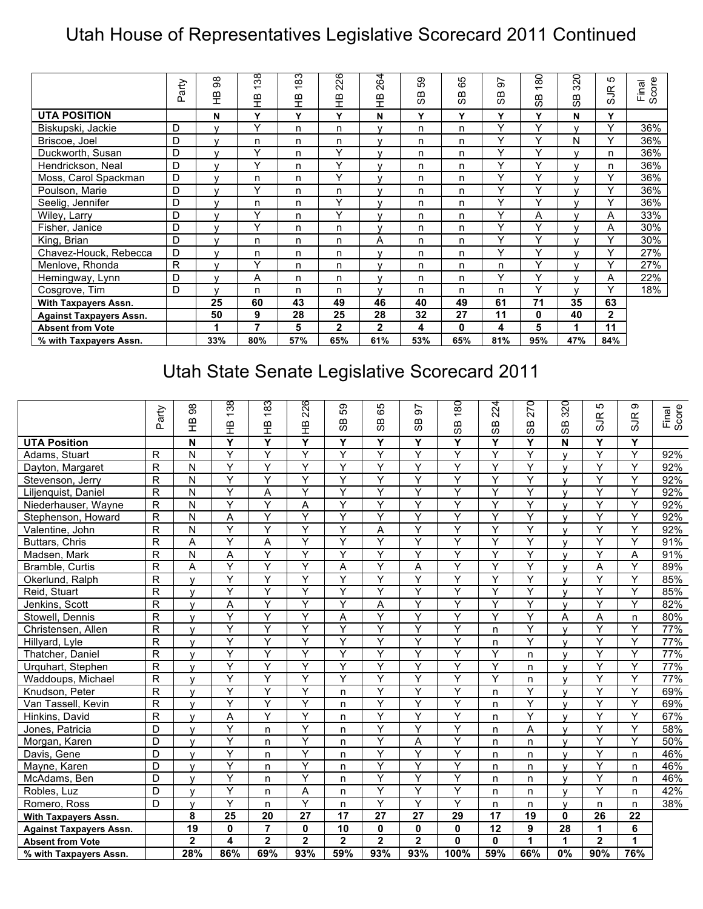## Utah House of Representatives Legislative Scorecard 2011 Continued

|                                              | Party | 88<br>뚠      | 8<br>$\tilde{\bm{\omega}}$<br>$\overline{\phantom{0}}$<br>띞 | 83<br>$\overline{\phantom{0}}$<br>뚠 | 226<br>운       | 264<br>띞     | တ<br>ιö<br>æ | Ю<br>αö<br>മ<br>$\overline{0}$ | 50<br>≃<br>$\overline{a}$ | $\overline{8}$<br>$\overline{ }$<br>œ | 20<br>$\infty$<br>88 | Ю<br>SJR       | Score<br>Final |
|----------------------------------------------|-------|--------------|-------------------------------------------------------------|-------------------------------------|----------------|--------------|--------------|--------------------------------|---------------------------|---------------------------------------|----------------------|----------------|----------------|
| <b>UTA POSITION</b>                          |       | N            | Υ                                                           | Y                                   | Y              | N            | Y            | Υ                              | Y                         | Y                                     | N                    | Y              |                |
| Biskupski, Jackie                            | D     | $\mathbf{v}$ | Y                                                           | n                                   | n              | $\mathsf{v}$ | n            | n                              | Y                         | Υ                                     | $\mathbf{v}$         | Y              | 36%            |
| Briscoe, Joel                                | D     | $\mathbf{v}$ | n                                                           | n                                   | n              | $\mathbf v$  | n            | n                              | Y                         | Y                                     | N                    | Υ              | 36%            |
| Duckworth, Susan                             | D     | $\mathbf{v}$ | Y                                                           | n                                   | Y              | $\mathbf{v}$ | n            | n                              | Y                         | Υ                                     | $\mathbf{v}$         | n              | 36%            |
| Hendrickson, Neal                            | D     | $\mathbf{v}$ | Y                                                           | n                                   | Y              | $\mathsf{v}$ | n            | n                              | Y                         | Y                                     | $\mathsf{v}$         | n              | 36%            |
| Moss, Carol Spackman                         | D     | $\mathsf{v}$ | n                                                           | n                                   | Y              | $\mathsf{v}$ | n            | n                              | Y                         | Y                                     | $\mathbf{v}$         | Υ              | 36%            |
| Poulson, Marie                               | D     | $\mathbf{v}$ | Y                                                           | n                                   | n.             | $\mathbf{v}$ | n            | n                              | Y                         | Y                                     | $\mathbf{v}$         | Y              | 36%            |
| Seelig, Jennifer                             | D     | $\mathbf{v}$ | n                                                           | n                                   | Y              | $\mathbf{v}$ | n            | n                              | Y                         | Y                                     | $\mathbf{v}$         | $\checkmark$   | 36%            |
| Wiley, Larry                                 | D     | $\mathbf{v}$ | Y                                                           | n                                   | Y              | $\mathbf v$  | n            | n                              | Y                         | Α                                     | $\mathsf{v}$         | Α              | 33%            |
| Fisher, Janice                               | D     | $\mathsf{v}$ | Y                                                           | n                                   | n.             | $\mathsf{v}$ | n            | n                              | Y                         | Υ                                     | $\mathbf{v}$         | A              | 30%            |
| King, Brian                                  | D     | $\mathbf{v}$ | n                                                           | n                                   | n.             | A            | n            | n                              | Y                         | Y                                     | $\mathbf{v}$         | Y              | 30%            |
| Chavez-Houck, Rebecca                        | D     | $\mathbf{v}$ | n                                                           | n                                   | n.             | $\mathsf{v}$ | n            | n                              | Y                         | Y                                     | $\mathbf{v}$         | $\checkmark$   | 27%            |
| Menlove, Rhonda                              | R     | $\mathbf{v}$ | Y                                                           | n                                   | n.             | $\mathsf{v}$ | n            | n                              | n                         | Y                                     | $\mathbf{v}$         | Y              | 27%            |
| Hemingway, Lynn                              | D     | $\mathbf{v}$ | Α                                                           | n                                   | n              | $\mathbf{v}$ | n            | n                              | Y                         | Y                                     | $\mathbf{v}$         | Α              | 22%            |
| Cosgrove, Tim                                | D     | $\mathbf{v}$ | n                                                           | n                                   | n              | $\mathbf v$  | n            | n                              | n                         | Y                                     | $\mathbf{v}$         | Y              | 18%            |
| With Taxpayers Assn.                         |       | 25           | 60                                                          | 43                                  | 49             | 46           | 40           | 49                             | 61                        | 71                                    | 35                   | 63             |                |
| <b>Against Taxpayers Assn.</b>               |       | 50           | 9                                                           | 28                                  | 25             | 28           | 32           | 27                             | 11                        | 0                                     | 40                   | $\overline{2}$ |                |
| <b>Absent from Vote</b>                      |       | 1            | 7                                                           | 5                                   | $\overline{2}$ | $\mathbf{2}$ | 4            | 0                              | 4                         | 5                                     | 1                    | 11             |                |
| % with Taxpayers Assn.                       |       | 33%          | 80%                                                         | 57%                                 | 65%            | 61%          | 53%          | 65%                            | 81%                       | 95%                                   | 47%                  | 84%            |                |
| Utah State Senate Legislative Scorecard 2011 |       |              |                                                             |                                     |                |              |              |                                |                           |                                       |                      |                |                |

|                                | Party          | 88<br>മ<br>Ξ    | ౢ<br>$\overline{ }$<br>m<br>Ŧ | <u>జ</u><br>$\overline{\phantom{0}}$<br>$\Omega$<br>I | 226<br>w<br>亍           | 59<br>99                | 5<br>ة<br>മ<br>ၯ | 50<br>m<br>ഗ    | $\frac{80}{2}$<br>D<br>៳ | 224<br>≃<br>ഗ | 270<br>m<br>ഗ           | 320<br>മ<br>ഗ           | 5<br>SJR       | တ<br>SJR       | Final<br>Score |
|--------------------------------|----------------|-----------------|-------------------------------|-------------------------------------------------------|-------------------------|-------------------------|------------------|-----------------|--------------------------|---------------|-------------------------|-------------------------|----------------|----------------|----------------|
| <b>UTA Position</b>            |                | N               | Y                             | Y                                                     | $\overline{\mathsf{Y}}$ | $\overline{\mathsf{Y}}$ | Y                | Y               | Y                        | Y             | Y                       | N                       | Y              | Y              |                |
| Adams, Stuart                  | $\overline{R}$ | N               | Y                             | Y                                                     | Y                       | Y                       | Y                | Y               | Y                        | Y             | Y                       | $\mathsf{v}$            | Y              | Y              | 92%            |
| Dayton, Margaret               | $\overline{R}$ | N               | Y                             | Y                                                     | Ÿ                       | Y                       | Y                | Y               | Y                        | Y             | Y                       | $\mathsf{V}$            | Y              | Y              | 92%            |
| Stevenson, Jerry               | $\overline{R}$ | N               | Y                             | Y                                                     | Y                       | Y                       | Ÿ                | Y               | Y                        | Y             | Y                       | $\mathsf{v}$            | Y              | Y              | 92%            |
| Liljenguist, Daniel            | $\mathsf{R}$   | N               | Y                             | A                                                     | Y                       | Y                       | Y                | Y               | Y                        | Y             | Y                       | $\mathbf{v}$            | Y              | Y              | 92%            |
| Niederhauser, Wayne            | $\overline{R}$ | N               | Y                             | Y                                                     | A                       | Y                       | Y                | Y               | Y                        | Y             | Y                       | $\mathbf{v}$            | Y              | Y              | 92%            |
| Stephenson, Howard             | $\overline{R}$ | N               | A                             | Y                                                     | $\overline{Y}$          | Y                       | Ÿ                | Y               | Y                        | Y             | Y                       | $\mathsf{v}$            | Y              | Y              | 92%            |
| Valentine, John                | $\overline{R}$ | N               | Y                             | Y                                                     | Ÿ                       | Y                       | A                | Y               | Y                        | Y             | Y                       | $\mathsf{v}$            | Y              | Y              | 92%            |
| Buttars, Chris                 | $\overline{R}$ | A               | Y                             | Α                                                     | Y                       | Y                       | Y                | Y               | Y                        | Y             | Y                       | $\mathbf{v}$            | Y              | Y              | 91%            |
| Madsen, Mark                   | $\overline{R}$ | N               | A                             | Y                                                     | Y                       | Y                       | Y                | Y               | Y                        | Y             | Y                       | $\mathsf{v}$            | Y              | A              | 91%            |
| Bramble, Curtis                | $\overline{R}$ | A               | Y                             | Y                                                     | Y                       | A                       | Y                | A               | Y                        | Y             | Y                       | $\mathsf{v}$            | A              | Y              | 89%            |
| Okerlund, Ralph                | $\overline{R}$ | $\mathsf{v}$    | Y                             | Y                                                     | Y                       | Ÿ                       | Y                | Ÿ               | Y                        | Y             | Y                       | $\mathbf{v}$            | Y              | Y              | 85%            |
| Reid, Stuart                   | $\overline{R}$ | $\mathsf{v}$    | Y                             | Y                                                     | Y                       | Ÿ                       | Y                | Ÿ               | Y                        | Y             | Y                       | $\mathbf{v}$            | Y              | Y              | 85%            |
| Jenkins, Scott                 | $\overline{R}$ | $\mathsf{v}$    | A                             | Y                                                     | Y                       | $\overline{\mathsf{Y}}$ | A                | Ÿ               | Y                        | Y             | Y                       | $\mathsf{v}$            | Y              | Y              | 82%            |
| Stowell, Dennis                | $\overline{R}$ | $\mathbf{v}$    | Y                             | Y                                                     | Y                       | A                       | Y                | Y               | Y                        | Y             | Y                       | A                       | A              | n              | 80%            |
| Christensen, Allen             | $\overline{R}$ | $\mathsf{v}$    | Y                             | Y                                                     | $\overline{\mathsf{Y}}$ | Ÿ                       | Ÿ                | Y               | Y                        | n             | Y                       | $\mathbf v$             | Y              | Y              | 77%            |
| Hillyard, Lyle                 | $\mathsf{R}$   | $\mathsf{v}$    | Y                             | Y                                                     | Ÿ                       | $\overline{Y}$          | Y                | $\overline{Y}$  | Y                        | n             | $\overline{Y}$          | $\mathsf{v}$            | Y              | Y              | 77%            |
| Thatcher, Daniel               | $\overline{R}$ | $\mathsf{v}$    | Y                             | Y                                                     | Ÿ                       | $\overline{Y}$          | Ÿ                | Y               | Y                        | Y             | n.                      | $\mathsf{v}$            | Y              | Y              | 77%            |
| Urquhart, Stephen              | $\overline{R}$ | $\mathsf{v}$    | Y                             | Y                                                     | $\overline{\mathsf{Y}}$ | Y                       | Y                | Y               | Y                        | Y             | n                       | $\mathbf{v}$            | Y              | Y              | 77%            |
| Waddoups, Michael              | $\overline{R}$ | $\mathsf{v}$    | Y                             | Y                                                     | Y                       | $\overline{Y}$          | Y                | Y               | Y                        | Y             | n                       | $\mathsf{v}$            | Y              | Y              | 77%            |
| Knudson, Peter                 | $\mathsf{R}$   | $\mathsf{v}$    | Y                             | Y                                                     | Ÿ                       | n                       | Y                | $\overline{Y}$  | Y                        | n.            | Y                       | $\mathsf{v}$            | Y              | Y              | 69%            |
| Van Tassell, Kevin             | $\overline{R}$ | $\mathsf{v}$    | Y                             | Y                                                     | Y                       | n                       | Y                | Y               | Y                        | n             | Y                       | $\mathsf{v}$            | Y              | Y              | 69%            |
| Hinkins, David                 | $\mathsf{R}$   | $\mathsf{v}$    | Α                             | Y                                                     | Ÿ                       | n                       | $\overline{Y}$   | $\overline{Y}$  | Y                        | n             | $\overline{\mathsf{Y}}$ | $\mathbf{v}$            | Y              | Y              | 67%            |
| Jones, Patricia                | D              | $\mathsf{v}$    | Y                             | n                                                     | $\overline{Y}$          | n                       | Ÿ                | Y               | Y                        | n             | A                       | $\mathsf{v}$            | Y              | Y              | 58%            |
| Morgan, Karen                  | $\mathsf{D}$   | $\mathsf{v}$    | Y                             | n                                                     | Y                       | n                       | Y                | A               | Y                        | n.            | n                       | $\mathsf{v}$            | Y              | Y              | 50%            |
| Davis, Gene                    | D              | $\mathsf{v}$    | Y                             | n                                                     | Y                       | n                       | $\overline{Y}$   | $\overline{Y}$  | Y                        | n             | n                       | $\mathsf{v}$            | Y              | n              | 46%            |
| Mayne, Karen                   | D              | $\mathsf{v}$    | Y                             | n                                                     | Y                       | n                       | Y                | $\overline{Y}$  | Y                        | n             | n                       | $\mathsf{v}$            | Y              | n              | 46%            |
| McAdams, Ben                   | D              | $\mathsf{v}$    | Y                             | n                                                     | Y                       | n                       | Y                | Y               | Y                        | n             | n                       | $\mathsf{v}$            | Y              | n              | 46%            |
| Robles, Luz                    | $\mathsf{D}$   | $\mathsf{v}$    | Y                             | n                                                     | Ā                       | n                       | Ÿ                | Y               | Y                        | n             | n                       | $\mathsf{v}$            | Y              | n              | 42%            |
| Romero, Ross                   | $\mathsf{D}$   | $\mathsf{v}$    | Y                             | n                                                     | Ÿ                       | n                       | Ÿ                | Y               | Y                        | n             | n                       | $\mathsf{v}$            | n              | n              | 38%            |
| With Taxpayers Assn.           |                | 8               | 25                            | 20                                                    | $\overline{27}$         | $\overline{17}$         | $\overline{27}$  | $\overline{27}$ | 29                       | 17            | 19                      | $\mathbf{0}$            | 26             | 22             |                |
| <b>Against Taxpayers Assn.</b> |                | $\overline{19}$ | 0                             | $\overline{7}$                                        | 0                       | $\overline{10}$         | $\mathbf{0}$     | $\mathbf{0}$    | $\mathbf{0}$             | 12            | 9                       | $\overline{28}$         | 1              | 6              |                |
| <b>Absent from Vote</b>        |                | $\overline{2}$  | $\overline{\mathbf{4}}$       | $\overline{2}$                                        | $\overline{2}$          | $\overline{\mathbf{2}}$ | $\overline{2}$   | $\overline{2}$  | $\mathbf{0}$             | 0             | 1                       | $\overline{\mathbf{1}}$ | $\overline{2}$ | $\overline{1}$ |                |
| % with Taxpayers Assn.         |                | 28%             | 86%                           | 69%                                                   | 93%                     | 59%                     | 93%              | 93%             | 100%                     | 59%           | 66%                     | 0%                      | 90%            | 76%            |                |